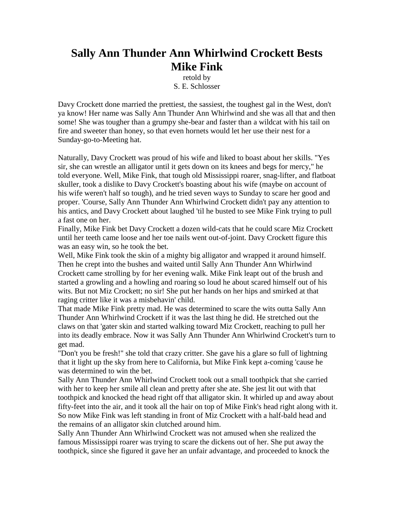## **Sally Ann Thunder Ann Whirlwind Crockett Bests Mike Fink**

retold by S. E. Schlosser

Davy Crockett done married the prettiest, the sassiest, the toughest gal in the West, don't ya know! Her name was Sally Ann Thunder Ann Whirlwind and she was all that and then some! She was tougher than a grumpy she-bear and faster than a wildcat with his tail on fire and sweeter than honey, so that even hornets would let her use their nest for a Sunday-go-to-Meeting hat.

Naturally, Davy Crockett was proud of his wife and liked to boast about her skills. "Yes sir, she can wrestle an alligator until it gets down on its knees and begs for mercy," he told everyone. Well, Mike Fink, that tough old Mississippi roarer, snag-lifter, and flatboat skuller, took a dislike to Davy Crockett's boasting about his wife (maybe on account of his wife weren't half so tough), and he tried seven ways to Sunday to scare her good and proper. 'Course, Sally Ann Thunder Ann Whirlwind Crockett didn't pay any attention to his antics, and Davy Crockett about laughed 'til he busted to see Mike Fink trying to pull a fast one on her.

Finally, Mike Fink bet Davy Crockett a dozen wild-cats that he could scare Miz Crockett until her teeth came loose and her toe nails went out-of-joint. Davy Crockett figure this was an easy win, so he took the bet.

Well, Mike Fink took the skin of a mighty big alligator and wrapped it around himself. Then he crept into the bushes and waited until Sally Ann Thunder Ann Whirlwind Crockett came strolling by for her evening walk. Mike Fink leapt out of the brush and started a growling and a howling and roaring so loud he about scared himself out of his wits. But not Miz Crockett; no sir! She put her hands on her hips and smirked at that raging critter like it was a misbehavin' child.

That made Mike Fink pretty mad. He was determined to scare the wits outta Sally Ann Thunder Ann Whirlwind Crockett if it was the last thing he did. He stretched out the claws on that 'gater skin and started walking toward Miz Crockett, reaching to pull her into its deadly embrace. Now it was Sally Ann Thunder Ann Whirlwind Crockett's turn to get mad.

"Don't you be fresh!" she told that crazy critter. She gave his a glare so full of lightning that it light up the sky from here to California, but Mike Fink kept a-coming 'cause he was determined to win the bet.

Sally Ann Thunder Ann Whirlwind Crockett took out a small toothpick that she carried with her to keep her smile all clean and pretty after she ate. She jest lit out with that toothpick and knocked the head right off that alligator skin. It whirled up and away about fifty-feet into the air, and it took all the hair on top of Mike Fink's head right along with it. So now Mike Fink was left standing in front of Miz Crockett with a half-bald head and the remains of an alligator skin clutched around him.

Sally Ann Thunder Ann Whirlwind Crockett was not amused when she realized the famous Mississippi roarer was trying to scare the dickens out of her. She put away the toothpick, since she figured it gave her an unfair advantage, and proceeded to knock the